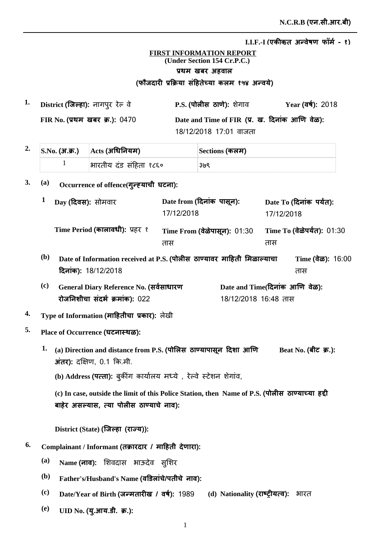## **FIRST INFORMATION REPORT (Under Section 154 Cr.P.C.)** प्रथम खबर अहवाल (फौजदारी प्रक्रिया सहितेच्या कलम १५४ अन्वर्य)

**1. P.S. District Ȫȣ ȡȯ** ȯȡ **ǔã¡ȡ**ȡǕȯãȯ **Year FIR No.** प्रथम खबर क्र.): 0470 Date and Time of FIR (प्र. ख. दिनाक आणि वेळ): 18/12/2018 17:01 वाजता Year (वर्ष): 2018

| $2.$ S.No. (अ.क.) $\rm{Acts}$ (अधिनियम) |                        | Sections (कलम) |  |
|-----------------------------------------|------------------------|----------------|--|
|                                         | भारतीय दंड संहिता १८६० | ३७९            |  |

3. (a) Occurrence of offence(गुन्ह्याची घटना):

|            | Day (दिवस): सोमवार                      | Date from (दिनांक पासून):<br>17/12/2018                                | Date To (दिनांक पर्यंत):<br>17/12/2018      |
|------------|-----------------------------------------|------------------------------------------------------------------------|---------------------------------------------|
|            | Time Period (कालावधी): प्रहर १          | Time From (वेळेपासून): 01:30<br>तास                                    | Time To (वेळेपर्यंत): 01:30<br>तास          |
| <b>(b)</b> | दिनांक): 18/12/2018                     | Date of Information received at P.S. (पोलीस ठाण्यावर माहिती मिळाल्याचा | Time $(\vec{a}\vec{\omega})$ : 16:00<br>तास |
| (c)        | General Diary Reference No. (सर्वसाधारण |                                                                        | Date and Time(दिनांक आणि वेळ):              |

18/12/2018 16:48 तास

- **रोजनिशीचा संदर्भ क्रमांक): 022**
- **<sup>4.</sup> Type of Information (माहितीचा प्रकार):** लेखी
- **5. Place of Occurrence ȡè**
	- Beat No. (बीट) क्र.):  $1.$  (a) Direction and distance from P.S. (पोलिस) ठाण्यापासून दिशा आणि  $\overline{3}$ *i* **(7):** दक्षिण, 0.1 कि.मी.

(b) Address **(पत्ता):** बुकीग कार्यालय मध्ये , रेल्वे स्टेशन शेगाव,

(c) In case, outside the limit of this Police Station, then Name of P.S. (पोलीस ठाण्याच्या हद्दी बाहेर असल्यास, त्या पोलीस ठाण्याचे नाव):

 $\text{District (State) (}$ जिल्हा (राज्य)):

- $^{6.}$  Complainant / Informant (तक्रारदार / माहिती देणारा):
	- $^{(a)}$  **Name (नाव):** शिवदास भाऊदेव सुशिर
	- $^{\rm (b)}$  Father's/Husband's Name (वडिलांचे/पतीचे नाव):
	- $\bf{(c)}$  **Date/Year of Birth (जन्मतारीख / वर्ष): 1989 (d) Nationality <b>(** (d) Nationality (**राष्ट्रीयत्व**): भारत
	- $\overline{\textbf{u}}$  **UID No. (यु.आय.डी. क्र.):**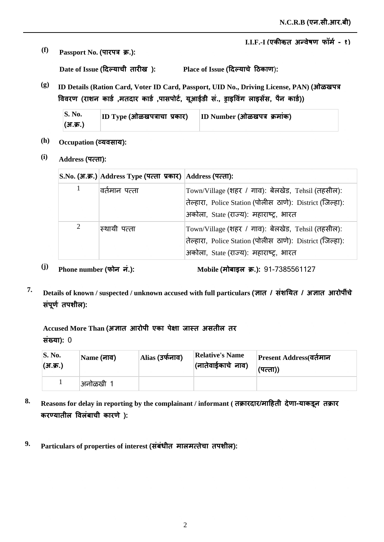*(f)* **Passport No. (पारपत्र क्र.):** 

 $\bf{Date \ of \ Issue}$  (दिल्याची तारीख ):

 $\mathbf{Place} \text{ of } \mathbf{I} \text{ s}$ sue (दिल्याचे ठिकाण):

**(g) ID Details (Ration Card, Voter ID Card, Passport, UID No., Driving License, PAN) jğ** विवरण (राशन कार्ड ,मतदार कार्ड ,पासपोर्ट, यूआईडी स., ड्राइविंग लाइसेस, पैन कार्ड))

| S. No.   | $ ID\;Type\;(H\vec{a})$ किखपत्राचा प्रकार) | ID Number (ओळखपत्र क्रमांक) |
|----------|--------------------------------------------|-----------------------------|
| (अ.क्र.) |                                            |                             |

- (h) **Occupation (व्यवसाय):**
- **(i) Address ×ȡ**

|                         | S.No. (अ.क.) Address Type (पत्ता प्रकार) Address (पत्ता): |                                                                                                                                                            |
|-------------------------|-----------------------------------------------------------|------------------------------------------------------------------------------------------------------------------------------------------------------------|
| 1                       | वर्तमान पत्ता                                             | Town/Village (शहर / गाव): बेलखेड, Tehsil (तहसील):<br>तेल्हारा, Police Station (पोलीस ठाणे): District (जिल्हा):<br>अकोला, State (राज्य): महाराष्ट्र, भारत   |
| 2                       | स्थायी पत्ता                                              | Town/Village (शहर / गाव): बेलखेड, Tehsil (तहसील):<br>तेल्हारा, Police Station (पोलीस ठाणे): District (जिल्हा):<br>अर्कोला, State (राज्य): महाराष्ट्र, भारत |
| Phone number (फोन नं.): |                                                           | Mobile (मोबाइल क्र.): 91-7385561127                                                                                                                        |

*T.* Details of known / suspected / unknown accused with full particulars (ज्ञात / संशयित / अज्ञात आरोपींचे संपूर्ण तपशील):

Accused More Than (अज्ञात आरोपी एका पेक्षा जास्त असतील तर **संख्या): 0** 

| S. No.<br>(अ.क्र.) | Name (नाव) | Alias (उर्फनाव) | <b>Relative's Name</b><br>(नातेवाईकाचे नाव) | Present Address(वर्तमान<br>(पत्ता)) |
|--------------------|------------|-----------------|---------------------------------------------|-------------------------------------|
|                    | अनोळखी 1   |                 |                                             |                                     |

- 8. Reasons for delay in reporting by the complainant / informant ( तक्रारदार/माहिती देणा-याकडून तक्रार करण्यातील विलंबाची कारणे):
- $^9$ · Particulars of properties of interest (संबंधीत मालमत्तेचा तपशील):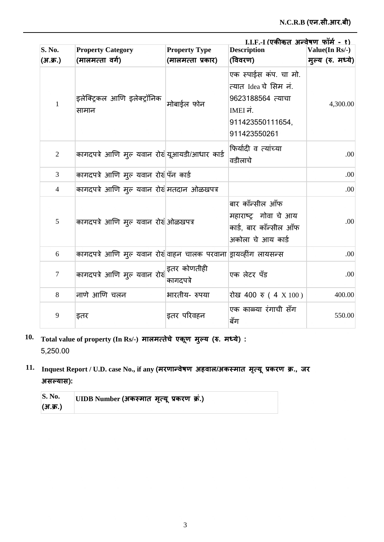| I.I.F.-I (एकीकत अन्वेषण फॉर्म - १) |                                                                                                                                                                                                                                         |                                           |                                                                                                                     |                                     |  |  |
|------------------------------------|-----------------------------------------------------------------------------------------------------------------------------------------------------------------------------------------------------------------------------------------|-------------------------------------------|---------------------------------------------------------------------------------------------------------------------|-------------------------------------|--|--|
| S. No.<br>(अ.क्र.)                 | <b>Property Category</b><br>(मालमत्ता वर्ग)                                                                                                                                                                                             | <b>Property Type</b><br>(मालमत्ता प्रकार) | <b>Description</b><br>(विवरण)                                                                                       | Value(In Rs/-)<br>मुल्य (रु. मध्ये) |  |  |
| $\mathbf{1}$                       | इलेक्ट्रिकल आणि इलेक्ट्रॉनिक<br>सामान                                                                                                                                                                                                   | मोबाईल फोन                                | एक स्पाईस कंप. चा मो.<br>त्यात Idea चे सिम नं.<br>9623188564 त्याचा<br>IMEI नं.<br>911423550111654,<br>911423550261 | 4,300.00                            |  |  |
| $\overline{2}$                     | कागदपत्रे आणि मुल यवान रोखं यूआयडी/आधार कार्ड                                                                                                                                                                                           |                                           | फिर्यादी व त्यांच्या<br>वडीलाचे                                                                                     | .00                                 |  |  |
| 3                                  | कागदपत्रे आणि मुल यवान रोखंपिन कार्ड                                                                                                                                                                                                    |                                           |                                                                                                                     | .00                                 |  |  |
| 4                                  | कागदपत्रे आणि मुल यवान रोखं मतदान ओळखपत्र                                                                                                                                                                                               |                                           |                                                                                                                     | .00                                 |  |  |
| 5                                  | कागदपत्रे आणि मुल यवान रोखं ओळखपत्र                                                                                                                                                                                                     |                                           | बार काँन्सील ऑफ<br>महाराष्ट्र गोवा चे आय<br>कार्ड, बार कॉन्सील ऑफ<br>अकोला चे आय कार्ड                              | .00                                 |  |  |
| 6                                  | कागदपत्रे आणि मुल यवान रोखेवाहन चालक परवाना ड्रायव्हींग लायसन्स                                                                                                                                                                         |                                           |                                                                                                                     | .00                                 |  |  |
| $\tau$                             | कागदपत्रे आणि मुल यवान रोखं $\left  \begin{array}{ccc} \frac{1}{2} & \frac{1}{2} & \frac{1}{2} \end{array} \right $ कागदपत्रे आणि मुल यवान रोखं $\left  \begin{array}{ccc} \frac{1}{2} & \frac{1}{2} & \frac{1}{2} \end{array} \right $ | कागदपत्रे                                 | एक लेटर पँड                                                                                                         | .00                                 |  |  |
| 8                                  | नाणे आणि चलन                                                                                                                                                                                                                            | भारतीय- रुपया                             | रोख 400 रु (4 X 100)                                                                                                | 400.00                              |  |  |
| 9                                  | इतर                                                                                                                                                                                                                                     | इतर परिवहन                                | एक काळ्या रंगाची सँग<br>बँग                                                                                         | 550.00                              |  |  |

- $10$ . Total value of property (In Rs/-) मालमत्तेचे एकूण मुल्य (रु. मध्ये) : 5,250.00
- $11.$  Inquest Report / U.D. case No., if any (मरणान्वेषण अहवाल/अकस्मात मृत्यू प्रकरण क्र., जर  $3\pi$  $\vec{r}$   $\vec{r}$   $\vec{r}$

| <b>S. No.</b> | UIDB Number (अकस्मात मृत्यू प्रकरण क्र.) |
|---------------|------------------------------------------|
| (अ.क्र.)      |                                          |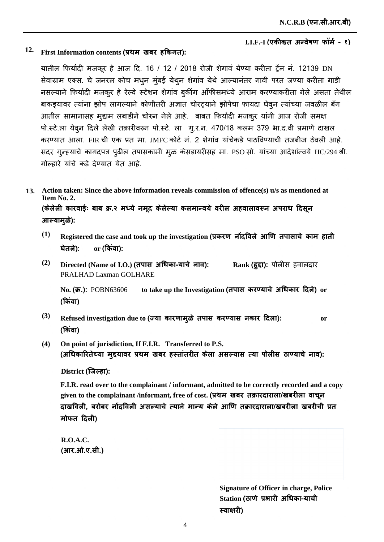## $12$ . First Information contents (प्रथम) खबर हकिगत):

यातील फिर्यादी मजकूर हे आज दि. 16 / 12 / 2018 रोजी शेगावं येण्या करीता ट्रेंन नं. 12139 DN सेवाग्राम एक्स. चे जनरल कोच मधुन मुंबई येथुन शेगांव येथे आल्यानंतर गावी परत जण्या करीता गाडी नसल्याने फिर्यादी मजकुर हे रेल्वे स्टेशन शेगांव बुकींग ऑफीसमध्ये आराम करण्याकरीता गेले असता तेथील बाकडयावर त्यांना झोप लागल्याने कोणीतरी अज्ञात चोरटयाने झोपेचा फायदा घेवून त्यांच्या जवळील बँग आतील सामानासह मुद्दाम लबाडीने चोरुन नेले आहे. बाबत फिर्यादी मजकूर यांनी आज रोजी समक्ष पो.स्टे.ला येवून दिले लेखी तक्रारीवरुन पो.स्टे. ला गु.र.न. 470/18 कलम 379 भा.द.वी प्रमाणे दाखल करण्यात आला. FIR ची एक प्रत मा. JMFC कोर्ट नं. 2 शेगांव यांचेकडे पाठविण्याची तजबीज ठेवली आहे. सदर गुन्ह्याचे कागदपत्र पुढील तपासकामी मूळ केसडायरीसह मा. PSO सो. यांच्या आदेशांन्वये HC/294 श्री. गोल्हारे यांचे कडे देण्यात येत आहे.

**Action taken: Since the above information reveals commission of offence(s) u/s as mentioned at 13. Item No. 2.** (केलेली कारवाईः बाब क्र.२ मध्ये नमूद केलेल्या कलमान्वये वरील अहवालावरून अपराध दिसून आल्यामुळे):

- $^{(1)}$   $\;$  Registered the case and took up the investigation (प्रकरण नोंदविले आणि तपासाचे काम हाती **ȯȯ or** <u>or</u> (किंवा):
- **(2)**  $\bm{\mathrm{Directed}}$  (Name of I.O.) (तपास अधिका-याचे नाव): PRALHAD Laxman GOLHARE **Rank (हुद्दा):** पोलीस हवालदार

No**. (क्र.)**: <code>POBN63606 to take up the Investigation (तपास करण्याचे अधिकार दिले) or</code> (किवा)

- **(3)** Refused investigation due to (ज्या कारणामुळे तपास करण्यास नकार दिला): or (किवा)
- **(4) On point of jurisdiction, If F.I.R. Transferred to P.S.** (अधिकारितेच्या मुद्दयावर प्रथम खबर हस्तातरीत केला असल्यास त्या पोलीस ठाण्याचे नाव):

**District ǔã¡ȡ**

**F.I.R. read over to the complainant / informant, admitted to be correctly recorded and a copy**  given to the complainant /informant, free of cost. (प्रथम) खबर) तक्रारदाराला/खबरीला) वाचून दाखविली, बरोबर नोंदविली असल्याचे त्याने मान्य केले आणि तक्रारदाराला/खबरीला खबरीची प्रत **मोफत दिली)** 

**R.O.A.C.**  (आर.ओ.ए.सी.)

> **Signature of Officer in charge, Police**   $\mathbf S$ tation (ठाणे प्रभारी अधिका-याची **स्वाक्षारी**)